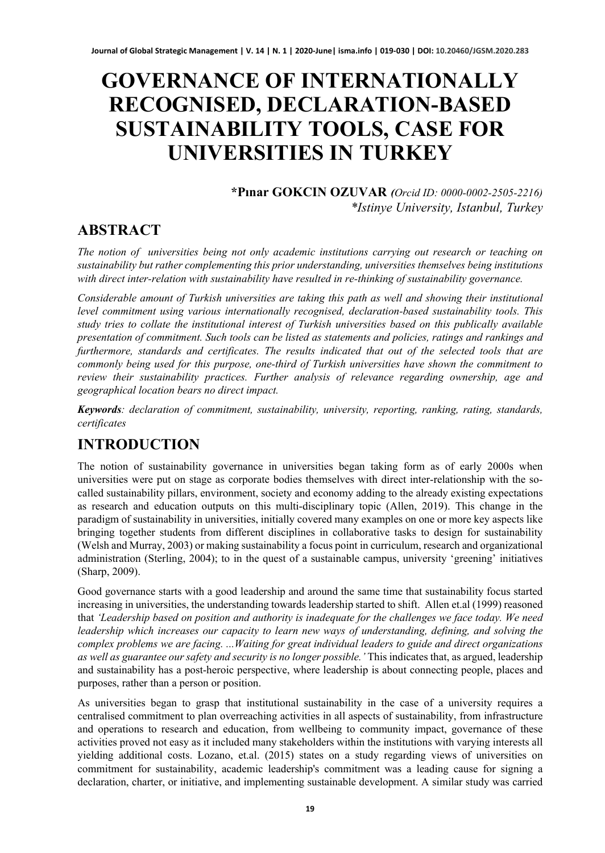# **GOVERNANCE OF INTERNATIONALLY RECOGNISED, DECLARATION-BASED SUSTAINABILITY TOOLS, CASE FOR UNIVERSITIES IN TURKEY**

**\*Pınar GOKCIN OZUVAR** *(Orcid ID: 0000-0002-2505-2216) \*Istinye University, Istanbul, Turkey*

### **ABSTRACT**

*The notion of universities being not only academic institutions carrying out research or teaching on sustainability but rather complementing this prior understanding, universities themselves being institutions with direct inter-relation with sustainability have resulted in re-thinking of sustainability governance.* 

*Considerable amount of Turkish universities are taking this path as well and showing their institutional level commitment using various internationally recognised, declaration-based sustainability tools. This study tries to collate the institutional interest of Turkish universities based on this publically available presentation of commitment. Such tools can be listed as statements and policies, ratings and rankings and furthermore, standards and certificates. The results indicated that out of the selected tools that are commonly being used for this purpose, one-third of Turkish universities have shown the commitment to review their sustainability practices. Further analysis of relevance regarding ownership, age and geographical location bears no direct impact.* 

*Keywords: declaration of commitment, sustainability, university, reporting, ranking, rating, standards, certificates*

### **INTRODUCTION**

The notion of sustainability governance in universities began taking form as of early 2000s when universities were put on stage as corporate bodies themselves with direct inter-relationship with the socalled sustainability pillars, environment, society and economy adding to the already existing expectations as research and education outputs on this multi-disciplinary topic (Allen, 2019). This change in the paradigm of sustainability in universities, initially covered many examples on one or more key aspects like bringing together students from different disciplines in collaborative tasks to design for sustainability (Welsh and Murray, 2003) or making sustainability a focus point in curriculum, research and organizational administration (Sterling, 2004); to in the quest of a sustainable campus, university 'greening' initiatives (Sharp, 2009).

Good governance starts with a good leadership and around the same time that sustainability focus started increasing in universities, the understanding towards leadership started to shift. Allen et.al (1999) reasoned that *'Leadership based on position and authority is inadequate for the challenges we face today. We need leadership which increases our capacity to learn new ways of understanding, defining, and solving the complex problems we are facing. ...Waiting for great individual leaders to guide and direct organizations as well as guarantee our safety and security is no longer possible.'* This indicates that, as argued, leadership and sustainability has a post-heroic perspective, where leadership is about connecting people, places and purposes, rather than a person or position.

As universities began to grasp that institutional sustainability in the case of a university requires a centralised commitment to plan overreaching activities in all aspects of sustainability, from infrastructure and operations to research and education, from wellbeing to community impact, governance of these activities proved not easy as it included many stakeholders within the institutions with varying interests all yielding additional costs. Lozano, et.al. (2015) states on a study regarding views of universities on commitment for sustainability, academic leadership's commitment was a leading cause for signing a declaration, charter, or initiative, and implementing sustainable development. A similar study was carried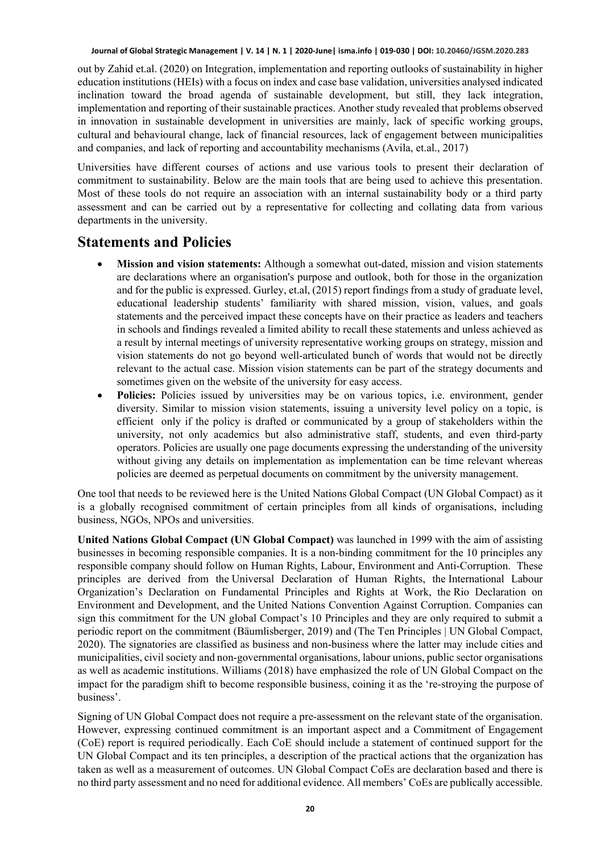out by Zahid et.al. (2020) on Integration, implementation and reporting outlooks of sustainability in higher education institutions (HEIs) with a focus on index and case base validation, universities analysed indicated inclination toward the broad agenda of sustainable development, but still, they lack integration, implementation and reporting of their sustainable practices. Another study revealed that problems observed in innovation in sustainable development in universities are mainly, lack of specific working groups, cultural and behavioural change, lack of financial resources, lack of engagement between municipalities and companies, and lack of reporting and accountability mechanisms (Avila, et.al., 2017)

Universities have different courses of actions and use various tools to present their declaration of commitment to sustainability. Below are the main tools that are being used to achieve this presentation. Most of these tools do not require an association with an internal sustainability body or a third party assessment and can be carried out by a representative for collecting and collating data from various departments in the university.

#### **Statements and Policies**

- **Mission and vision statements:** Although a somewhat out-dated, mission and vision statements are declarations where an organisation's purpose and outlook, both for those in the organization and for the public is expressed. Gurley, et.al, (2015) report findings from a study of graduate level, educational leadership students' familiarity with shared mission, vision, values, and goals statements and the perceived impact these concepts have on their practice as leaders and teachers in schools and findings revealed a limited ability to recall these statements and unless achieved as a result by internal meetings of university representative working groups on strategy, mission and vision statements do not go beyond well-articulated bunch of words that would not be directly relevant to the actual case. Mission vision statements can be part of the strategy documents and sometimes given on the website of the university for easy access.
- **Policies:** Policies issued by universities may be on various topics, i.e. environment, gender diversity. Similar to mission vision statements, issuing a university level policy on a topic, is efficient only if the policy is drafted or communicated by a group of stakeholders within the university, not only academics but also administrative staff, students, and even third-party operators. Policies are usually one page documents expressing the understanding of the university without giving any details on implementation as implementation can be time relevant whereas policies are deemed as perpetual documents on commitment by the university management.

One tool that needs to be reviewed here is the United Nations Global Compact (UN Global Compact) as it is a globally recognised commitment of certain principles from all kinds of organisations, including business, NGOs, NPOs and universities.

**United Nations Global Compact (UN Global Compact)** was launched in 1999 with the aim of assisting businesses in becoming responsible companies. It is a non-binding commitment for the 10 principles any responsible company should follow on Human Rights, Labour, Environment and Anti-Corruption. These principles are derived from the Universal Declaration of Human Rights, the International Labour Organization's Declaration on Fundamental Principles and Rights at Work, the Rio Declaration on Environment and Development, and the United Nations Convention Against Corruption. Companies can sign this commitment for the UN global Compact's 10 Principles and they are only required to submit a periodic report on the commitment (Bäumlisberger, 2019) and (The Ten Principles | UN Global Compact, 2020). The signatories are classified as business and non-business where the latter may include cities and municipalities, civil society and non-governmental organisations, labour unions, public sector organisations as well as academic institutions. Williams (2018) have emphasized the role of UN Global Compact on the impact for the paradigm shift to become responsible business, coining it as the 're-stroying the purpose of business'.

Signing of UN Global Compact does not require a pre-assessment on the relevant state of the organisation. However, expressing continued commitment is an important aspect and a Commitment of Engagement (CoE) report is required periodically. Each CoE should include a statement of continued support for the UN Global Compact and its ten principles, a description of the practical actions that the organization has taken as well as a measurement of outcomes. UN Global Compact CoEs are declaration based and there is no third party assessment and no need for additional evidence. All members' CoEs are publically accessible.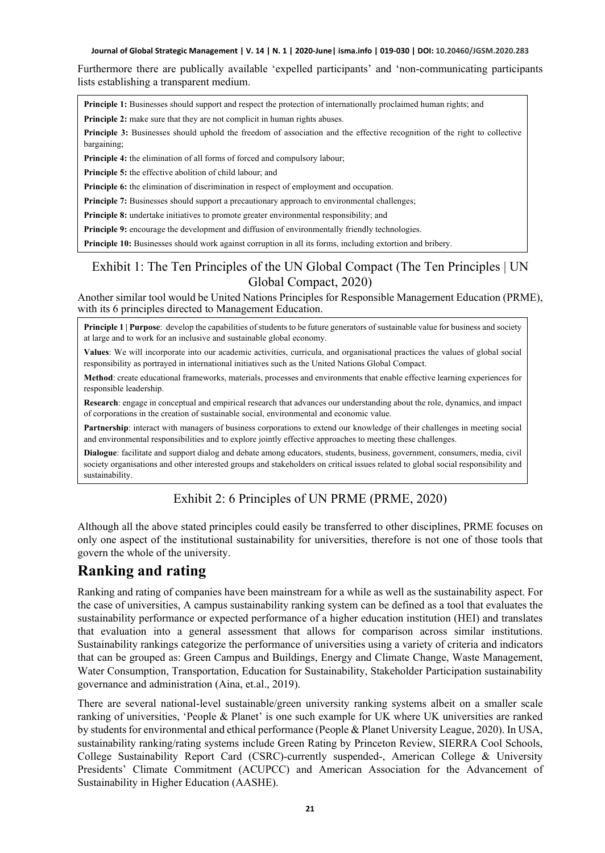Furthermore there are publically available 'expelled participants' and 'non-communicating participants lists establishing a transparent medium.

**Principle 1:** Businesses should support and respect the protection of internationally proclaimed human rights; and **Principle 2:** make sure that they are not complicit in human rights abuses.

**Principle 3:** Businesses should uphold the freedom of association and the effective recognition of the right to collective bargaining;

**Principle 4:** the elimination of all forms of forced and compulsory labour;

**Principle 5:** the effective abolition of child labour; and

**Principle 6:** the elimination of discrimination in respect of employment and occupation.

**Principle 7:** Businesses should support a precautionary approach to environmental challenges;

**Principle 8:** undertake initiatives to promote greater environmental responsibility; and

**Principle 9:** encourage the development and diffusion of environmentally friendly technologies.

**Principle 10:** Businesses should work against corruption in all its forms, including extortion and bribery.

#### Exhibit 1: The Ten Principles of the UN Global Compact (The Ten Principles | UN Global Compact, 2020)

Another similar tool would be United Nations Principles for Responsible Management Education (PRME), with its 6 principles directed to Management Education.

**Principle 1 | Purpose:** develop the capabilities of students to be future generators of sustainable value for business and society at large and to work for an inclusive and sustainable global economy.

**Values**: We will incorporate into our academic activities, curricula, and organisational practices the values of global social responsibility as portrayed in international initiatives such as the United Nations Global Compact.

**Method**: create educational frameworks, materials, processes and environments that enable effective learning experiences for responsible leadership.

**Research**: engage in conceptual and empirical research that advances our understanding about the role, dynamics, and impact of corporations in the creation of sustainable social, environmental and economic value.

**Partnership**: interact with managers of business corporations to extend our knowledge of their challenges in meeting social and environmental responsibilities and to explore jointly effective approaches to meeting these challenges.

**Dialogue**: facilitate and support dialog and debate among educators, students, business, government, consumers, media, civil society organisations and other interested groups and stakeholders on critical issues related to global social responsibility and sustainability.

#### Exhibit 2: 6 Principles of UN PRME (PRME, 2020)

Although all the above stated principles could easily be transferred to other disciplines, PRME focuses on only one aspect of the institutional sustainability for universities, therefore is not one of those tools that govern the whole of the university.

### **Ranking and rating**

Ranking and rating of companies have been mainstream for a while as well as the sustainability aspect. For the case of universities, A campus sustainability ranking system can be defined as a tool that evaluates the sustainability performance or expected performance of a higher education institution (HEI) and translates that evaluation into a general assessment that allows for comparison across similar institutions. Sustainability rankings categorize the performance of universities using a variety of criteria and indicators that can be grouped as: Green Campus and Buildings, Energy and Climate Change, Waste Management, Water Consumption, Transportation, Education for Sustainability, Stakeholder Participation sustainability governance and administration (Aina, et.al., 2019).

There are several national-level sustainable/green university ranking systems albeit on a smaller scale ranking of universities, 'People & Planet' is one such example for UK where UK universities are ranked by students for environmental and ethical performance (People & Planet University League, 2020). In USA, sustainability ranking/rating systems include Green Rating by Princeton Review, SIERRA Cool Schools, College Sustainability Report Card (CSRC)-currently suspended-, American College & University Presidents' Climate Commitment (ACUPCC) and American Association for the Advancement of Sustainability in Higher Education (AASHE).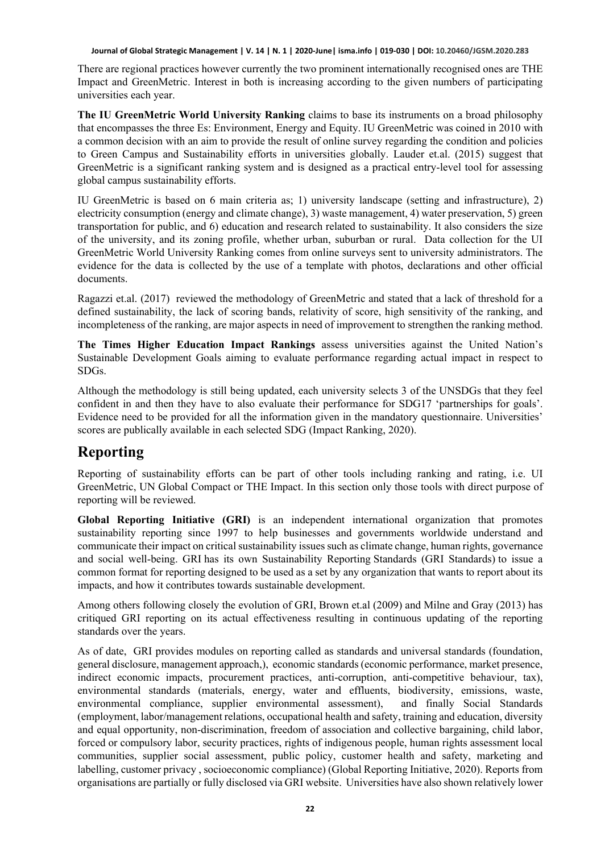There are regional practices however currently the two prominent internationally recognised ones are THE Impact and GreenMetric. Interest in both is increasing according to the given numbers of participating universities each year.

**The IU GreenMetric World University Ranking** claims to base its instruments on a broad philosophy that encompasses the three Es: Environment, Energy and Equity. IU GreenMetric was coined in 2010 with a common decision with an aim to provide the result of online survey regarding the condition and policies to Green Campus and Sustainability efforts in universities globally. Lauder et.al. (2015) suggest that GreenMetric is a significant ranking system and is designed as a practical entry-level tool for assessing global campus sustainability efforts.

IU GreenMetric is based on 6 main criteria as; 1) university landscape (setting and infrastructure), 2) electricity consumption (energy and climate change), 3) waste management, 4) water preservation, 5) green transportation for public, and 6) education and research related to sustainability. It also considers the size of the university, and its zoning profile, whether urban, suburban or rural. Data collection for the UI GreenMetric World University Ranking comes from online surveys sent to university administrators. The evidence for the data is collected by the use of a template with photos, declarations and other official documents.

Ragazzi et.al. (2017) reviewed the methodology of GreenMetric and stated that a lack of threshold for a defined sustainability, the lack of scoring bands, relativity of score, high sensitivity of the ranking, and incompleteness of the ranking, are major aspects in need of improvement to strengthen the ranking method.

**The Times Higher Education Impact Rankings** assess universities against the United Nation's Sustainable Development Goals aiming to evaluate performance regarding actual impact in respect to SDGs.

Although the methodology is still being updated, each university selects 3 of the UNSDGs that they feel confident in and then they have to also evaluate their performance for SDG17 'partnerships for goals'. Evidence need to be provided for all the information given in the mandatory questionnaire. Universities' scores are publically available in each selected SDG (Impact Ranking, 2020).

### **Reporting**

Reporting of sustainability efforts can be part of other tools including ranking and rating, i.e. UI GreenMetric, UN Global Compact or THE Impact. In this section only those tools with direct purpose of reporting will be reviewed.

**Global Reporting Initiative (GRI)** is an independent international organization that promotes sustainability reporting since 1997 to help businesses and governments worldwide understand and communicate their impact on critical sustainability issues such as climate change, human rights, governance and social well-being. GRI has its own Sustainability Reporting Standards (GRI Standards) to issue a common format for reporting designed to be used as a set by any organization that wants to report about its impacts, and how it contributes towards sustainable development.

Among others following closely the evolution of GRI, Brown et.al (2009) and Milne and Gray (2013) has critiqued GRI reporting on its actual effectiveness resulting in continuous updating of the reporting standards over the years.

As of date, GRI provides modules on reporting called as standards and universal standards (foundation, general disclosure, management approach,), economic standards (economic performance, market presence, indirect economic impacts, procurement practices, anti-corruption, anti-competitive behaviour, tax), environmental standards (materials, energy, water and effluents, biodiversity, emissions, waste, environmental compliance, supplier environmental assessment), and finally Social Standards (employment, labor/management relations, occupational health and safety, training and education, diversity and equal opportunity, non-discrimination, freedom of association and collective bargaining, child labor, forced or compulsory labor, security practices, rights of indigenous people, human rights assessment local communities, supplier social assessment, public policy, customer health and safety, marketing and labelling, customer privacy , socioeconomic compliance) (Global Reporting Initiative, 2020). Reports from organisations are partially or fully disclosed via GRI website. Universities have also shown relatively lower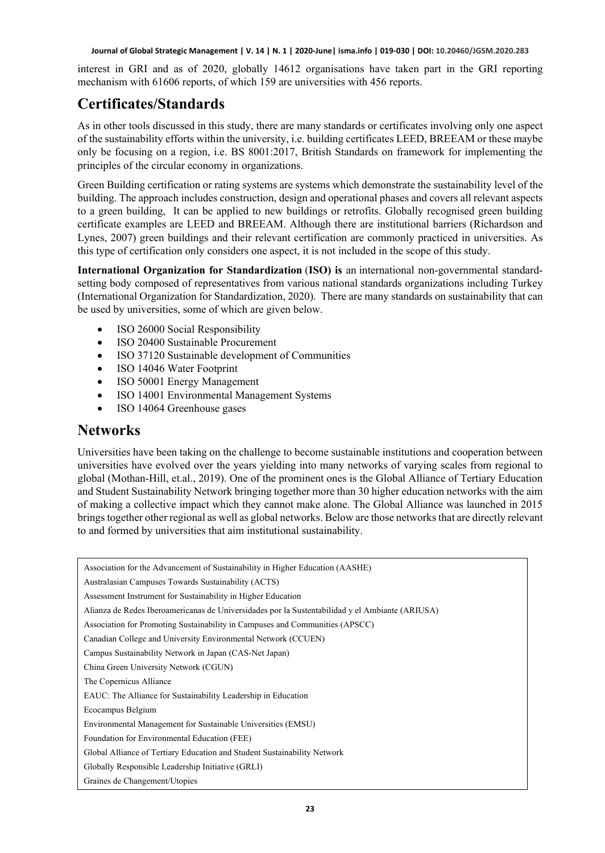interest in GRI and as of 2020, globally 14612 organisations have taken part in the GRI reporting mechanism with 61606 reports, of which 159 are universities with 456 reports.

### **Certificates/Standards**

As in other tools discussed in this study, there are many standards or certificates involving only one aspect of the sustainability efforts within the university, i.e. building certificates LEED, BREEAM or these maybe only be focusing on a region, i.e. BS 8001:2017, British Standards on framework for implementing the principles of the circular economy in organizations.

Green Building certification or rating systems are systems which demonstrate the sustainability level of the building. The approach includes construction, design and operational phases and covers all relevant aspects to a green building, It can be applied to new buildings or retrofits. Globally recognised green building certificate examples are LEED and BREEAM. Although there are institutional barriers (Richardson and Lynes, 2007) green buildings and their relevant certification are commonly practiced in universities. As this type of certification only considers one aspect, it is not included in the scope of this study.

**International Organization for Standardization** (**ISO) is** an international non-governmental standardsetting body composed of representatives from various national standards organizations including Turkey (International Organization for Standardization, 2020). There are many standards on sustainability that can be used by universities, some of which are given below.

- ISO 26000 Social Responsibility
- ISO 20400 Sustainable Procurement
- ISO 37120 Sustainable development of Communities
- ISO 14046 Water Footprint
- ISO 50001 Energy Management
- ISO 14001 Environmental Management Systems
- ISO 14064 Greenhouse gases

#### **Networks**

Universities have been taking on the challenge to become sustainable institutions and cooperation between universities have evolved over the years yielding into many networks of varying scales from regional to global (Mothan-Hill, et.al., 2019). One of the prominent ones is the Global Alliance of Tertiary Education and Student Sustainability Network bringing together more than 30 higher education networks with the aim of making a collective impact which they cannot make alone. The Global Alliance was launched in 2015 brings together other regional as well as global networks. Below are those networks that are directly relevant to and formed by universities that aim institutional sustainability.

Association for the Advancement of Sustainability in Higher Education (AASHE) Australasian Campuses Towards Sustainability (ACTS) Assessment Instrument for Sustainability in Higher Education Alianza de Redes Iberoamericanas de Universidades por la Sustentabilidad y el Ambiante (ARIUSA) Association for Promoting Sustainability in Campuses and Communities (APSCC) Canadian College and University Environmental Network (CCUEN) Campus Sustainability Network in Japan (CAS-Net Japan) China Green University Network (CGUN) The Copernicus Alliance EAUC: The Alliance for Sustainability Leadership in Education Ecocampus Belgium Environmental Management for Sustainable Universities (EMSU) Foundation for Environmental Education (FEE) Global Alliance of Tertiary Education and Student Sustainability Network Globally Responsible Leadership Initiative (GRLI) Graines de Changement/Utopies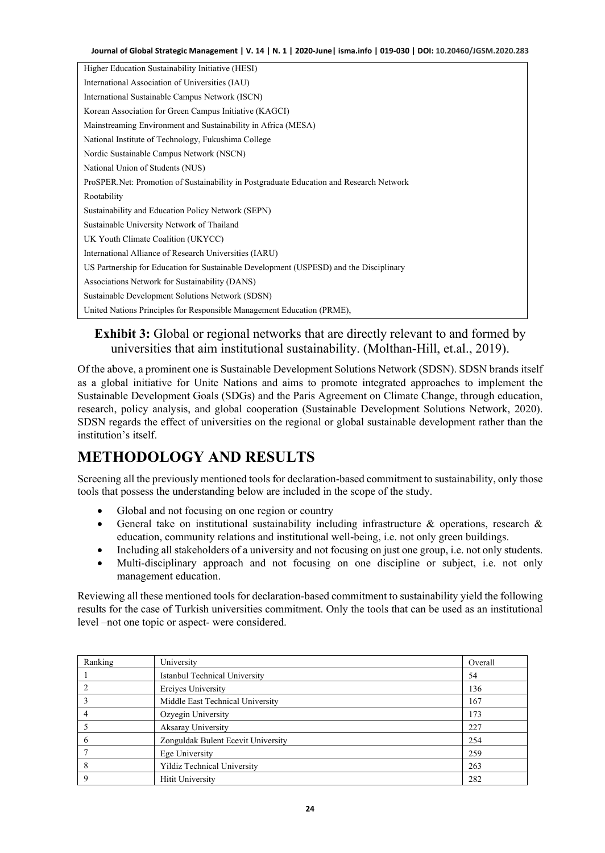| Higher Education Sustainability Initiative (HESI)                                        |
|------------------------------------------------------------------------------------------|
| International Association of Universities (IAU)                                          |
| International Sustainable Campus Network (ISCN)                                          |
| Korean Association for Green Campus Initiative (KAGCI)                                   |
| Mainstreaming Environment and Sustainability in Africa (MESA)                            |
| National Institute of Technology, Fukushima College                                      |
| Nordic Sustainable Campus Network (NSCN)                                                 |
| National Union of Students (NUS)                                                         |
| ProSPER. Net: Promotion of Sustainability in Postgraduate Education and Research Network |
| Rootability                                                                              |
| Sustainability and Education Policy Network (SEPN)                                       |
| Sustainable University Network of Thailand                                               |
| UK Youth Climate Coalition (UKYCC)                                                       |
| International Alliance of Research Universities (IARU)                                   |
| US Partnership for Education for Sustainable Development (USPESD) and the Disciplinary   |
| Associations Network for Sustainability (DANS)                                           |
| Sustainable Development Solutions Network (SDSN)                                         |
| United Nations Principles for Responsible Management Education (PRME),                   |

#### **Exhibit 3:** Global or regional networks that are directly relevant to and formed by universities that aim institutional sustainability. (Molthan-Hill, et.al., 2019).

Of the above, a prominent one is Sustainable Development Solutions Network (SDSN). SDSN brands itself as a global initiative for Unite Nations and aims to promote integrated approaches to implement the Sustainable Development Goals (SDGs) and the Paris Agreement on Climate Change, through education, research, policy analysis, and global cooperation (Sustainable Development Solutions Network, 2020). SDSN regards the effect of universities on the regional or global sustainable development rather than the institution's itself.

# **METHODOLOGY AND RESULTS**

Screening all the previously mentioned tools for declaration-based commitment to sustainability, only those tools that possess the understanding below are included in the scope of the study.

- Global and not focusing on one region or country
- General take on institutional sustainability including infrastructure & operations, research & education, community relations and institutional well-being, i.e. not only green buildings.
- Including all stakeholders of a university and not focusing on just one group, i.e. not only students.
- Multi-disciplinary approach and not focusing on one discipline or subject, i.e. not only management education.

Reviewing all these mentioned tools for declaration-based commitment to sustainability yield the following results for the case of Turkish universities commitment. Only the tools that can be used as an institutional level –not one topic or aspect- were considered.

| Ranking | University                         | Overall |
|---------|------------------------------------|---------|
|         | Istanbul Technical University      | 54      |
|         | Erciyes University                 | 136     |
|         | Middle East Technical University   | 167     |
|         | Ozyegin University                 | 173     |
|         | Aksaray University                 | 227     |
| b       | Zonguldak Bulent Ecevit University | 254     |
|         | Ege University                     | 259     |
|         | Yildiz Technical University        | 263     |
|         | Hitit University                   | 282     |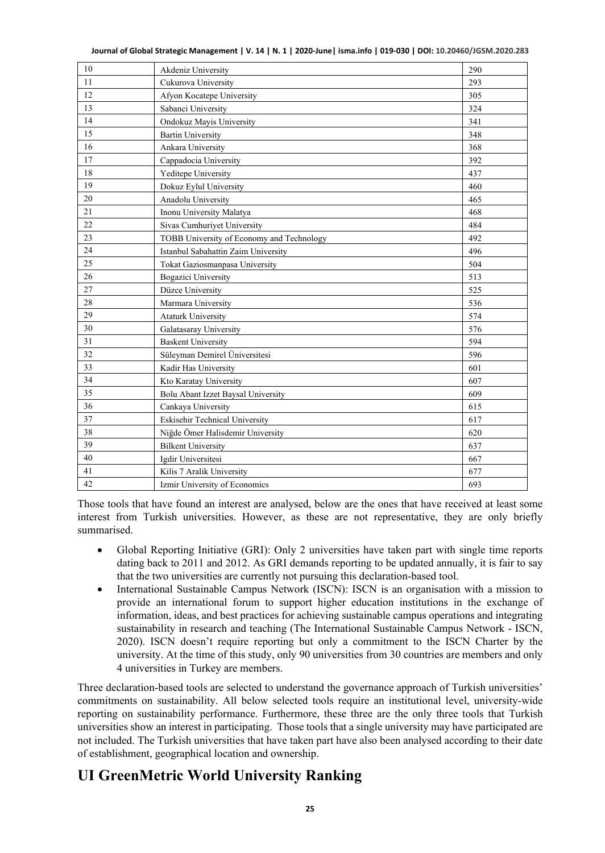|  |  | Journal of Global Strategic Management   V. 14   N. 1   2020-June  isma.info   019-030   DOI: 10.20460/JGSM.2020.283 |
|--|--|----------------------------------------------------------------------------------------------------------------------|
|--|--|----------------------------------------------------------------------------------------------------------------------|

| 10 | Akdeniz University                        | 290 |
|----|-------------------------------------------|-----|
| 11 | Cukurova University                       | 293 |
| 12 | Afyon Kocatepe University                 | 305 |
| 13 | Sabanci University                        | 324 |
| 14 | Ondokuz Mayis University                  | 341 |
| 15 | <b>Bartin University</b>                  | 348 |
| 16 | Ankara University                         | 368 |
| 17 | Cappadocia University                     | 392 |
| 18 | Yeditepe University                       | 437 |
| 19 | Dokuz Eylul University                    | 460 |
| 20 | Anadolu University                        | 465 |
| 21 | Inonu University Malatya                  | 468 |
| 22 | Sivas Cumhuriyet University               | 484 |
| 23 | TOBB University of Economy and Technology | 492 |
| 24 | Istanbul Sabahattin Zaim University       | 496 |
| 25 | Tokat Gaziosmanpasa University            | 504 |
| 26 | Bogazici University                       | 513 |
| 27 | Düzce University                          | 525 |
| 28 | Marmara University                        | 536 |
| 29 | <b>Ataturk University</b>                 | 574 |
| 30 | Galatasaray University                    | 576 |
| 31 | <b>Baskent University</b>                 | 594 |
| 32 | Süleyman Demirel Üniversitesi             | 596 |
| 33 | Kadir Has University                      | 601 |
| 34 | Kto Karatay University                    | 607 |
| 35 | Bolu Abant Izzet Baysal University        | 609 |
| 36 | Cankaya University                        | 615 |
| 37 | Eskisehir Technical University            | 617 |
| 38 | Niğde Ömer Halisdemir University          | 620 |
| 39 | <b>Bilkent University</b>                 | 637 |
| 40 | Igdir Universitesi                        | 667 |
| 41 | Kilis 7 Aralik University                 | 677 |
| 42 | Izmir University of Economics             | 693 |

Those tools that have found an interest are analysed, below are the ones that have received at least some interest from Turkish universities. However, as these are not representative, they are only briefly summarised.

- Global Reporting Initiative (GRI): Only 2 universities have taken part with single time reports dating back to 2011 and 2012. As GRI demands reporting to be updated annually, it is fair to say that the two universities are currently not pursuing this declaration-based tool.
- International Sustainable Campus Network (ISCN): ISCN is an organisation with a mission to provide an international forum to support higher education institutions in the exchange of information, ideas, and best practices for achieving sustainable campus operations and integrating sustainability in research and teaching (The International Sustainable Campus Network - ISCN, 2020). ISCN doesn't require reporting but only a commitment to the ISCN Charter by the university. At the time of this study, only 90 universities from 30 countries are members and only 4 universities in Turkey are members.

Three declaration-based tools are selected to understand the governance approach of Turkish universities' commitments on sustainability. All below selected tools require an institutional level, university-wide reporting on sustainability performance. Furthermore, these three are the only three tools that Turkish universities show an interest in participating. Those tools that a single university may have participated are not included. The Turkish universities that have taken part have also been analysed according to their date of establishment, geographical location and ownership.

### **UI GreenMetric World University Ranking**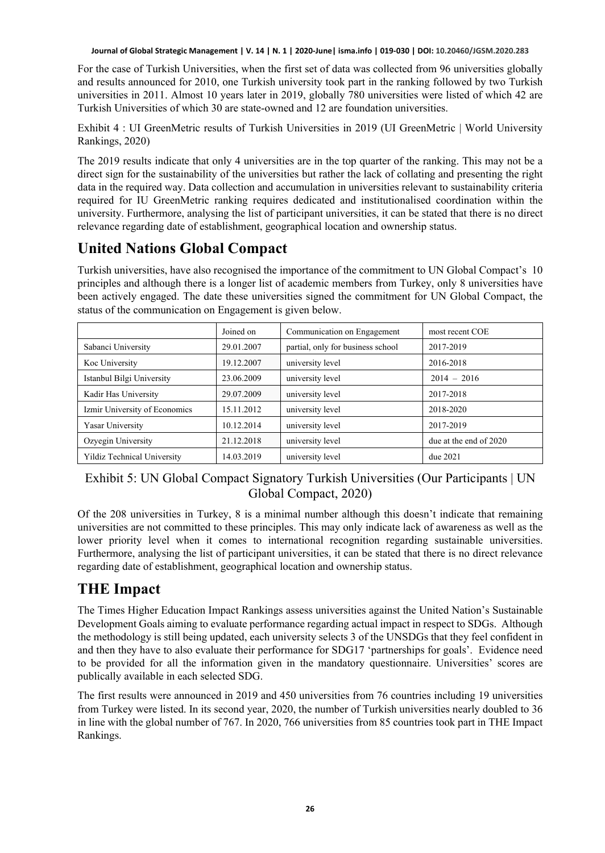For the case of Turkish Universities, when the first set of data was collected from 96 universities globally and results announced for 2010, one Turkish university took part in the ranking followed by two Turkish universities in 2011. Almost 10 years later in 2019, globally 780 universities were listed of which 42 are Turkish Universities of which 30 are state-owned and 12 are foundation universities.

Exhibit 4 : UI GreenMetric results of Turkish Universities in 2019 (UI GreenMetric | World University Rankings, 2020)

The 2019 results indicate that only 4 universities are in the top quarter of the ranking. This may not be a direct sign for the sustainability of the universities but rather the lack of collating and presenting the right data in the required way. Data collection and accumulation in universities relevant to sustainability criteria required for IU GreenMetric ranking requires dedicated and institutionalised coordination within the university. Furthermore, analysing the list of participant universities, it can be stated that there is no direct relevance regarding date of establishment, geographical location and ownership status.

### **United Nations Global Compact**

Turkish universities, have also recognised the importance of the commitment to UN Global Compact's 10 principles and although there is a longer list of academic members from Turkey, only 8 universities have been actively engaged. The date these universities signed the commitment for UN Global Compact, the status of the communication on Engagement is given below.

|                               | Joined on  | Communication on Engagement       | most recent COE        |
|-------------------------------|------------|-----------------------------------|------------------------|
| Sabanci University            | 29.01.2007 | partial, only for business school | 2017-2019              |
| Koc University                | 19.12.2007 | university level                  | 2016-2018              |
| Istanbul Bilgi University     | 23.06.2009 | university level                  | $2014 - 2016$          |
| Kadir Has University          | 29.07.2009 | university level                  | 2017-2018              |
| Izmir University of Economics | 15.11.2012 | university level                  | 2018-2020              |
| Yasar University              | 10.12.2014 | university level                  | 2017-2019              |
| Ozyegin University            | 21.12.2018 | university level                  | due at the end of 2020 |
| Yildiz Technical University   | 14.03.2019 | university level                  | due~2021               |

#### Exhibit 5: UN Global Compact Signatory Turkish Universities (Our Participants | UN Global Compact, 2020)

Of the 208 universities in Turkey, 8 is a minimal number although this doesn't indicate that remaining universities are not committed to these principles. This may only indicate lack of awareness as well as the lower priority level when it comes to international recognition regarding sustainable universities. Furthermore, analysing the list of participant universities, it can be stated that there is no direct relevance regarding date of establishment, geographical location and ownership status.

## **THE Impact**

The Times Higher Education Impact Rankings assess universities against the United Nation's Sustainable Development Goals aiming to evaluate performance regarding actual impact in respect to SDGs. Although the methodology is still being updated, each university selects 3 of the UNSDGs that they feel confident in and then they have to also evaluate their performance for SDG17 'partnerships for goals'. Evidence need to be provided for all the information given in the mandatory questionnaire. Universities' scores are publically available in each selected SDG.

The first results were announced in 2019 and 450 universities from 76 countries including 19 universities from Turkey were listed. In its second year, 2020, the number of Turkish universities nearly doubled to 36 in line with the global number of 767. In 2020, 766 universities from 85 countries took part in THE Impact Rankings.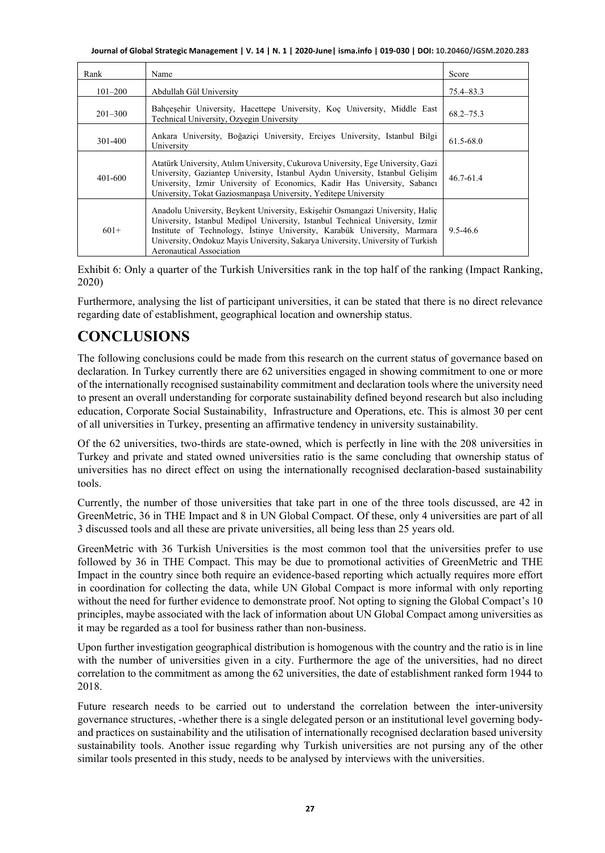| Rank        | Name                                                                                                                                                                                                                                                                                                                                                      | Score         |
|-------------|-----------------------------------------------------------------------------------------------------------------------------------------------------------------------------------------------------------------------------------------------------------------------------------------------------------------------------------------------------------|---------------|
| $101 - 200$ | Abdullah Gül University                                                                                                                                                                                                                                                                                                                                   | 75.4–83.3     |
| $201 - 300$ | Bahcesehir University, Hacettepe University, Koc University, Middle East<br>Technical University, Ozyegin University                                                                                                                                                                                                                                      | $68.2 - 75.3$ |
| 301-400     | Ankara University, Boğazici University, Erciyes University, Istanbul Bilgi<br>University                                                                                                                                                                                                                                                                  | $61.5 - 68.0$ |
| 401-600     | Atatürk University, Atılım University, Cukurova University, Ege University, Gazi<br>University, Gaziantep University, Istanbul Aydın University, Istanbul Gelişim<br>University, Izmir University of Economics, Kadir Has University, Sabancı<br>University, Tokat Gaziosmanpaşa University, Yeditepe University                                          | $46.7 - 61.4$ |
| $601+$      | Anadolu University, Beykent University, Eskişehir Osmangazi University, Halic<br>University, Istanbul Medipol University, Istanbul Technical University, Izmir<br>Institute of Technology, İstinye University, Karabük University, Marmara<br>University, Ondokuz Mayis University, Sakarya University, University of Turkish<br>Aeronautical Association | 9.5-46.6      |

Exhibit 6: Only a quarter of the Turkish Universities rank in the top half of the ranking (Impact Ranking, 2020)

Furthermore, analysing the list of participant universities, it can be stated that there is no direct relevance regarding date of establishment, geographical location and ownership status.

# **CONCLUSIONS**

The following conclusions could be made from this research on the current status of governance based on declaration. In Turkey currently there are 62 universities engaged in showing commitment to one or more of the internationally recognised sustainability commitment and declaration tools where the university need to present an overall understanding for corporate sustainability defined beyond research but also including education, Corporate Social Sustainability, Infrastructure and Operations, etc. This is almost 30 per cent of all universities in Turkey, presenting an affirmative tendency in university sustainability.

Of the 62 universities, two-thirds are state-owned, which is perfectly in line with the 208 universities in Turkey and private and stated owned universities ratio is the same concluding that ownership status of universities has no direct effect on using the internationally recognised declaration-based sustainability tools.

Currently, the number of those universities that take part in one of the three tools discussed, are 42 in GreenMetric, 36 in THE Impact and 8 in UN Global Compact. Of these, only 4 universities are part of all 3 discussed tools and all these are private universities, all being less than 25 years old.

GreenMetric with 36 Turkish Universities is the most common tool that the universities prefer to use followed by 36 in THE Compact. This may be due to promotional activities of GreenMetric and THE Impact in the country since both require an evidence-based reporting which actually requires more effort in coordination for collecting the data, while UN Global Compact is more informal with only reporting without the need for further evidence to demonstrate proof. Not opting to signing the Global Compact's 10 principles, maybe associated with the lack of information about UN Global Compact among universities as it may be regarded as a tool for business rather than non-business.

Upon further investigation geographical distribution is homogenous with the country and the ratio is in line with the number of universities given in a city. Furthermore the age of the universities, had no direct correlation to the commitment as among the 62 universities, the date of establishment ranked form 1944 to 2018.

Future research needs to be carried out to understand the correlation between the inter-university governance structures, -whether there is a single delegated person or an institutional level governing bodyand practices on sustainability and the utilisation of internationally recognised declaration based university sustainability tools. Another issue regarding why Turkish universities are not pursing any of the other similar tools presented in this study, needs to be analysed by interviews with the universities.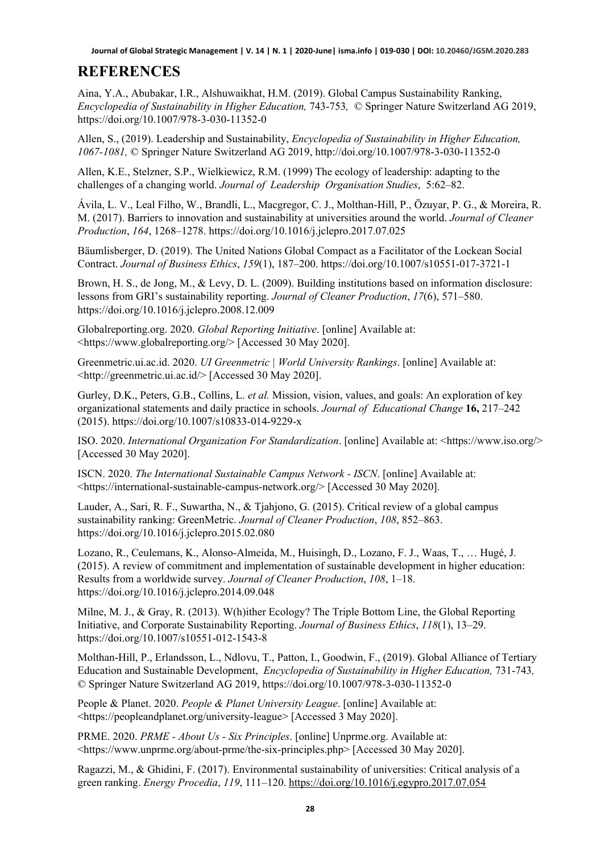### **REFERENCES**

Aina, Y.A., Abubakar, I.R., Alshuwaikhat, H.M. (2019). Global Campus Sustainability Ranking, *Encyclopedia of Sustainability in Higher Education,* 743-753*,* © Springer Nature Switzerland AG 2019, https://doi.org/10.1007/978-3-030-11352-0

Allen, S., (2019). Leadership and Sustainability, *Encyclopedia of Sustainability in Higher Education, 1067-1081,* © Springer Nature Switzerland AG 2019, http://doi.org/10.1007/978-3-030-11352-0

Allen, K.E., Stelzner, S.P., Wielkiewicz, R.M. (1999) The ecology of leadership: adapting to the challenges of a changing world. *Journal of Leadership Organisation Studies*, 5:62–82.

Ávila, L. V., Leal Filho, W., Brandli, L., Macgregor, C. J., Molthan-Hill, P., Özuyar, P. G., & Moreira, R. M. (2017). Barriers to innovation and sustainability at universities around the world. *Journal of Cleaner Production*, *164*, 1268–1278. https://doi.org/10.1016/j.jclepro.2017.07.025

Bäumlisberger, D. (2019). The United Nations Global Compact as a Facilitator of the Lockean Social Contract. *Journal of Business Ethics*, *159*(1), 187–200. https://doi.org/10.1007/s10551-017-3721-1

Brown, H. S., de Jong, M., & Levy, D. L. (2009). Building institutions based on information disclosure: lessons from GRI's sustainability reporting. *Journal of Cleaner Production*, *17*(6), 571–580. https://doi.org/10.1016/j.jclepro.2008.12.009

Globalreporting.org. 2020. *Global Reporting Initiative*. [online] Available at: <https://www.globalreporting.org/> [Accessed 30 May 2020].

Greenmetric.ui.ac.id. 2020. *UI Greenmetric | World University Rankings*. [online] Available at: <http://greenmetric.ui.ac.id/> [Accessed 30 May 2020].

Gurley, D.K., Peters, G.B., Collins, L. *et al.* Mission, vision, values, and goals: An exploration of key organizational statements and daily practice in schools. *Journal of Educational Change* **16,** 217–242 (2015). https://doi.org/10.1007/s10833-014-9229-x

ISO. 2020. *International Organization For Standardization*. [online] Available at: <https://www.iso.org/> [Accessed 30 May 2020].

ISCN. 2020. *The International Sustainable Campus Network - ISCN*. [online] Available at: <https://international-sustainable-campus-network.org/> [Accessed 30 May 2020].

Lauder, A., Sari, R. F., Suwartha, N., & Tjahjono, G. (2015). Critical review of a global campus sustainability ranking: GreenMetric. *Journal of Cleaner Production*, *108*, 852–863. https://doi.org/10.1016/j.jclepro.2015.02.080

Lozano, R., Ceulemans, K., Alonso-Almeida, M., Huisingh, D., Lozano, F. J., Waas, T., … Hugé, J. (2015). A review of commitment and implementation of sustainable development in higher education: Results from a worldwide survey. *Journal of Cleaner Production*, *108*, 1–18. https://doi.org/10.1016/j.jclepro.2014.09.048

Milne, M. J., & Gray, R. (2013). W(h)ither Ecology? The Triple Bottom Line, the Global Reporting Initiative, and Corporate Sustainability Reporting. *Journal of Business Ethics*, *118*(1), 13–29. https://doi.org/10.1007/s10551-012-1543-8

Molthan-Hill, P., Erlandsson, L., Ndlovu, T., Patton, I., Goodwin, F., (2019). Global Alliance of Tertiary Education and Sustainable Development, *Encyclopedia of Sustainability in Higher Education*, 731-743*,* © Springer Nature Switzerland AG 2019, https://doi.org/10.1007/978-3-030-11352-0

People & Planet. 2020. *People & Planet University League*. [online] Available at: <https://peopleandplanet.org/university-league> [Accessed 3 May 2020].

PRME. 2020. *PRME - About Us - Six Principles*. [online] Unprme.org. Available at: <https://www.unprme.org/about-prme/the-six-principles.php> [Accessed 30 May 2020].

Ragazzi, M., & Ghidini, F. (2017). Environmental sustainability of universities: Critical analysis of a green ranking. *Energy Procedia*, *119*, 111–120.<https://doi.org/10.1016/j.egypro.2017.07.054>